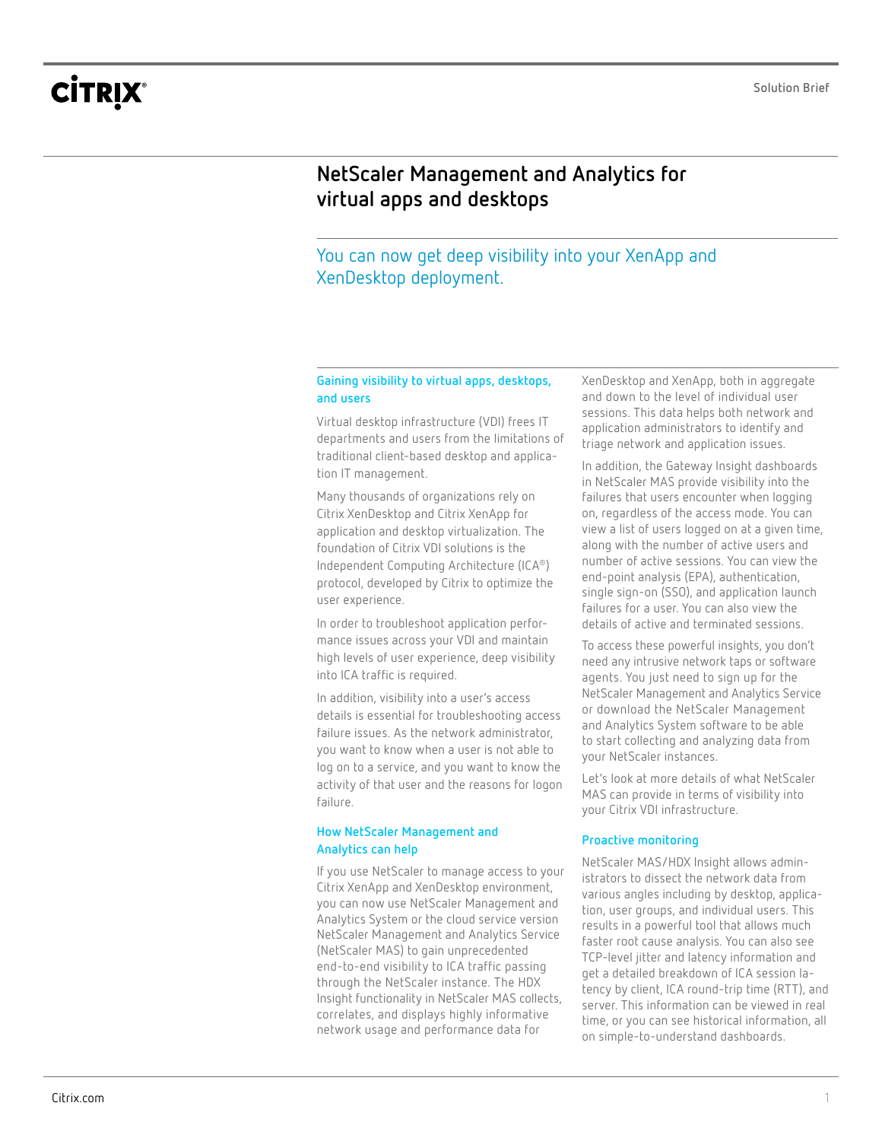# **CİTRIX®**

## **NetScaler Management and Analytics for virtual apps and desktops**

### You can now get deep visibility into your XenApp and XenDesktop deployment.

#### **Gaining visibility to virtual apps, desktops, and users**

Virtual desktop infrastructure (VDI) frees IT departments and users from the limitations of traditional client-based desktop and application IT management.

Many thousands of organizations rely on Citrix XenDesktop and Citrix XenApp for application and desktop virtualization. The foundation of Citrix VDI solutions is the Independent Computing Architecture (ICA®) protocol, developed by Citrix to optimize the user experience.

In order to troubleshoot application performance issues across your VDI and maintain high levels of user experience, deep visibility into ICA traffic is required.

In addition, visibility into a user's access details is essential for troubleshooting access failure issues. As the network administrator, you want to know when a user is not able to log on to a service, and you want to know the activity of that user and the reasons for logon failure.

#### **How NetScaler Management and Analytics can help**

If you use NetScaler to manage access to your Citrix XenApp and XenDesktop environment, you can now use NetScaler Management and Analytics System or the cloud service version NetScaler Management and Analytics Service (NetScaler MAS) to gain unprecedented end-to-end visibility to ICA traffic passing through the NetScaler instance. The HDX Insight functionality in NetScaler MAS collects, correlates, and displays highly informative network usage and performance data for

XenDesktop and XenApp, both in aggregate and down to the level of individual user sessions. This data helps both network and application administrators to identify and triage network and application issues.

In addition, the Gateway Insight dashboards in NetScaler MAS provide visibility into the failures that users encounter when logging on, regardless of the access mode. You can view a list of users logged on at a given time, along with the number of active users and number of active sessions. You can view the end-point analysis (EPA), authentication, single sign-on (SSO), and application launch failures for a user. You can also view the details of active and terminated sessions.

To access these powerful insights, you don't need any intrusive network taps or software agents. You just need to sign up for the NetScaler Management and Analytics Service or download the NetScaler Management and Analytics System software to be able to start collecting and analyzing data from your NetScaler instances.

Let's look at more details of what NetScaler MAS can provide in terms of visibility into your Citrix VDI infrastructure.

#### **Proactive monitoring**

NetScaler MAS/HDX Insight allows administrators to dissect the network data from various angles including by desktop, application, user groups, and individual users. This results in a powerful tool that allows much faster root cause analysis. You can also see TCP-level jitter and latency information and get a detailed breakdown of ICA session latency by client, ICA round-trip time (RTT), and server. This information can be viewed in real time, or you can see historical information, all on simple-to-understand dashboards.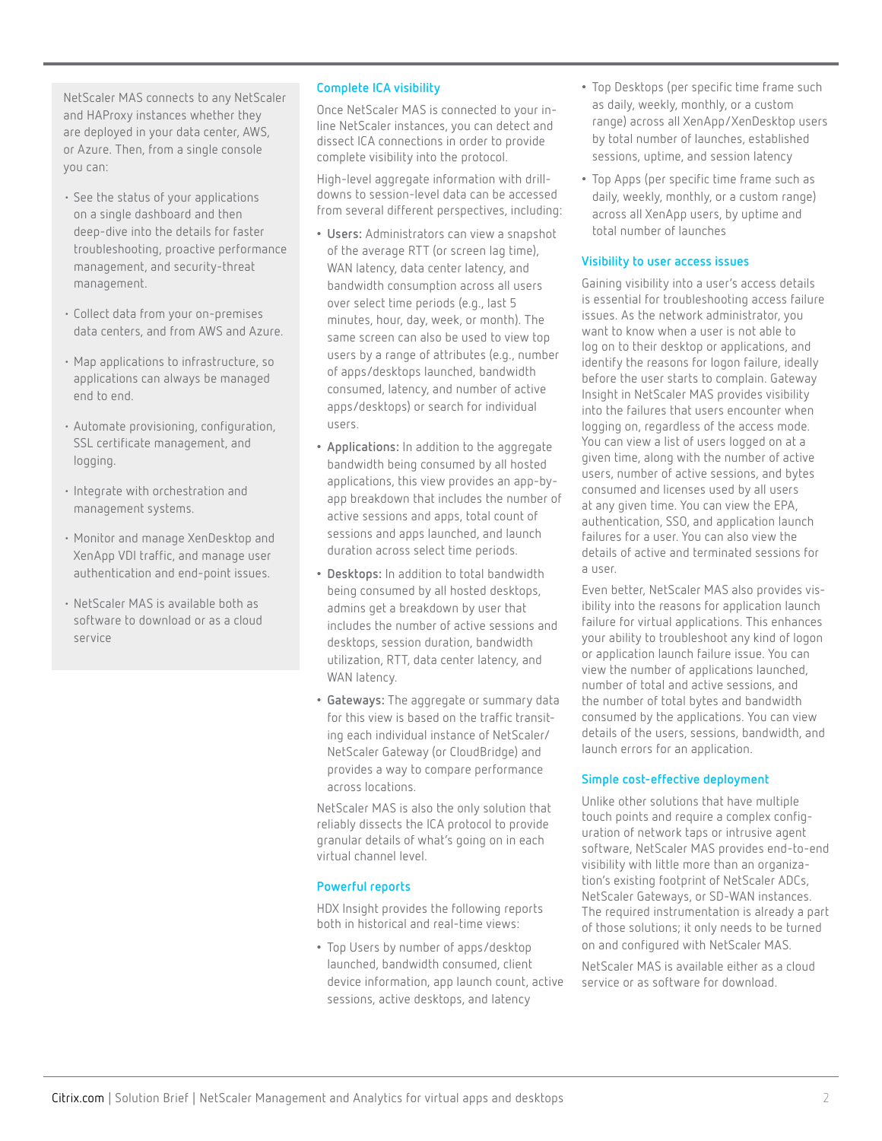NetScaler MAS connects to any NetScaler and HAProxy instances whether they are deployed in your data center, AWS, or Azure. Then, from a single console you can:

- See the status of your applications on a single dashboard and then deep-dive into the details for faster troubleshooting, proactive performance management, and security-threat management.
- Collect data from your on-premises data centers, and from AWS and Azure.
- Map applications to infrastructure, so applications can always be managed end to end.
- Automate provisioning, configuration, SSL certificate management, and logging.
- Integrate with orchestration and management systems.
- Monitor and manage XenDesktop and XenApp VDI traffic, and manage user authentication and end-point issues.
- NetScaler MAS is available both as software to download or as a cloud service

#### **Complete ICA visibility**

Once NetScaler MAS is connected to your inline NetScaler instances, you can detect and dissect ICA connections in order to provide complete visibility into the protocol.

High-level aggregate information with drilldowns to session-level data can be accessed from several different perspectives, including:

- **Users:** Administrators can view a snapshot of the average RTT (or screen lag time), WAN latency, data center latency, and bandwidth consumption across all users over select time periods (e.g., last 5 minutes, hour, day, week, or month). The same screen can also be used to view top users by a range of attributes (e.g., number of apps/desktops launched, bandwidth consumed, latency, and number of active apps/desktops) or search for individual users.
- **Applications:** In addition to the aggregate bandwidth being consumed by all hosted applications, this view provides an app-byapp breakdown that includes the number of active sessions and apps, total count of sessions and apps launched, and launch duration across select time periods.
- **Desktops:** In addition to total bandwidth being consumed by all hosted desktops, admins get a breakdown by user that includes the number of active sessions and desktops, session duration, bandwidth utilization, RTT, data center latency, and WAN latency.
- **Gateways:** The aggregate or summary data for this view is based on the traffic transiting each individual instance of NetScaler/ NetScaler Gateway (or CloudBridge) and provides a way to compare performance across locations.

NetScaler MAS is also the only solution that reliably dissects the ICA protocol to provide granular details of what's going on in each virtual channel level.

#### **Powerful reports**

HDX Insight provides the following reports both in historical and real-time views:

• Top Users by number of apps/desktop launched, bandwidth consumed, client device information, app launch count, active sessions, active desktops, and latency

- Top Desktops (per specific time frame such as daily, weekly, monthly, or a custom range) across all XenApp/XenDesktop users by total number of launches, established sessions, uptime, and session latency
- Top Apps (per specific time frame such as daily, weekly, monthly, or a custom range) across all XenApp users, by uptime and total number of launches

#### **Visibility to user access issues**

Gaining visibility into a user's access details is essential for troubleshooting access failure issues. As the network administrator, you want to know when a user is not able to log on to their desktop or applications, and identify the reasons for logon failure, ideally before the user starts to complain. Gateway Insight in NetScaler MAS provides visibility into the failures that users encounter when logging on, regardless of the access mode. You can view a list of users logged on at a given time, along with the number of active users, number of active sessions, and bytes consumed and licenses used by all users at any given time. You can view the EPA, authentication, SSO, and application launch failures for a user. You can also view the details of active and terminated sessions for a user.

Even better, NetScaler MAS also provides visibility into the reasons for application launch failure for virtual applications. This enhances your ability to troubleshoot any kind of logon or application launch failure issue. You can view the number of applications launched, number of total and active sessions, and the number of total bytes and bandwidth consumed by the applications. You can view details of the users, sessions, bandwidth, and launch errors for an application.

#### **Simple cost-effective deployment**

Unlike other solutions that have multiple touch points and require a complex configuration of network taps or intrusive agent software, NetScaler MAS provides end-to-end visibility with little more than an organization's existing footprint of NetScaler ADCs, NetScaler Gateways, or SD-WAN instances. The required instrumentation is already a part of those solutions; it only needs to be turned on and configured with NetScaler MAS.

NetScaler MAS is available either as a cloud service or as software for download.